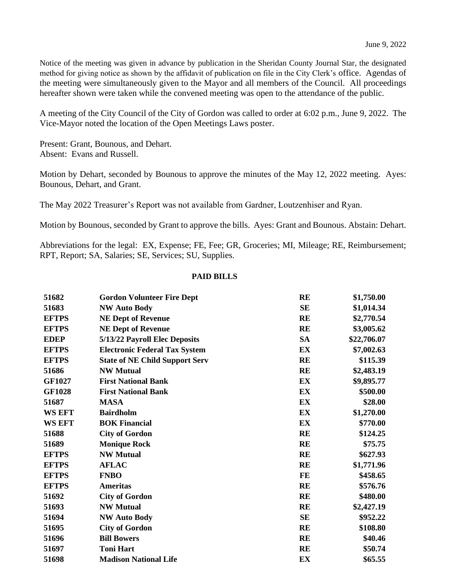Notice of the meeting was given in advance by publication in the Sheridan County Journal Star, the designated method for giving notice as shown by the affidavit of publication on file in the City Clerk's office. Agendas of the meeting were simultaneously given to the Mayor and all members of the Council. All proceedings hereafter shown were taken while the convened meeting was open to the attendance of the public.

A meeting of the City Council of the City of Gordon was called to order at 6:02 p.m., June 9, 2022. The Vice-Mayor noted the location of the Open Meetings Laws poster.

Present: Grant, Bounous, and Dehart. Absent: Evans and Russell.

Motion by Dehart, seconded by Bounous to approve the minutes of the May 12, 2022 meeting. Ayes: Bounous, Dehart, and Grant.

The May 2022 Treasurer's Report was not available from Gardner, Loutzenhiser and Ryan.

Motion by Bounous, seconded by Grant to approve the bills. Ayes: Grant and Bounous. Abstain: Dehart.

Abbreviations for the legal: EX, Expense; FE, Fee; GR, Groceries; MI, Mileage; RE, Reimbursement; RPT, Report; SA, Salaries; SE, Services; SU, Supplies.

## **PAID BILLS**

| 51682         | <b>Gordon Volunteer Fire Dept</b>     | <b>RE</b> | \$1,750.00  |
|---------------|---------------------------------------|-----------|-------------|
| 51683         | <b>NW Auto Body</b>                   | <b>SE</b> | \$1,014.34  |
| <b>EFTPS</b>  | <b>NE Dept of Revenue</b>             | <b>RE</b> | \$2,770.54  |
| <b>EFTPS</b>  | <b>NE Dept of Revenue</b>             | <b>RE</b> | \$3,005.62  |
| <b>EDEP</b>   | 5/13/22 Payroll Elec Deposits         | <b>SA</b> | \$22,706.07 |
| <b>EFTPS</b>  | <b>Electronic Federal Tax System</b>  | EX        | \$7,002.63  |
| <b>EFTPS</b>  | <b>State of NE Child Support Serv</b> | <b>RE</b> | \$115.39    |
| 51686         | <b>NW Mutual</b>                      | <b>RE</b> | \$2,483.19  |
| <b>GF1027</b> | <b>First National Bank</b>            | EX        | \$9,895.77  |
| <b>GF1028</b> | <b>First National Bank</b>            | EX        | \$500.00    |
| 51687         | <b>MASA</b>                           | EX        | \$28.00     |
| <b>WS EFT</b> | <b>Bairdholm</b>                      | EX        | \$1,270.00  |
| <b>WS EFT</b> | <b>BOK Financial</b>                  | EX        | \$770.00    |
| 51688         | <b>City of Gordon</b>                 | <b>RE</b> | \$124.25    |
| 51689         | <b>Monique Rock</b>                   | <b>RE</b> | \$75.75     |
| <b>EFTPS</b>  | <b>NW Mutual</b>                      | <b>RE</b> | \$627.93    |
| <b>EFTPS</b>  | <b>AFLAC</b>                          | <b>RE</b> | \$1,771.96  |
| <b>EFTPS</b>  | <b>FNBO</b>                           | FE        | \$458.65    |
| <b>EFTPS</b>  | <b>Ameritas</b>                       | <b>RE</b> | \$576.76    |
| 51692         | <b>City of Gordon</b>                 | <b>RE</b> | \$480.00    |
| 51693         | <b>NW Mutual</b>                      | <b>RE</b> | \$2,427.19  |
| 51694         | <b>NW Auto Body</b>                   | <b>SE</b> | \$952.22    |
| 51695         | <b>City of Gordon</b>                 | <b>RE</b> | \$108.80    |
| 51696         | <b>Bill Bowers</b>                    | <b>RE</b> | \$40.46     |
| 51697         | <b>Toni Hart</b>                      | <b>RE</b> | \$50.74     |
| 51698         | <b>Madison National Life</b>          | EX        | \$65.55     |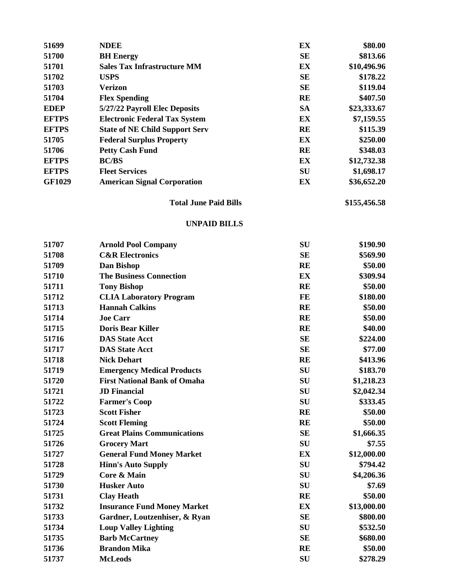| 51699         | <b>NDEE</b>                           | EX        | \$80.00     |
|---------------|---------------------------------------|-----------|-------------|
| 51700         | <b>BH</b> Energy                      | <b>SE</b> | \$813.66    |
| 51701         | <b>Sales Tax Infrastructure MM</b>    | EX        | \$10,496.96 |
| 51702         | <b>USPS</b>                           | <b>SE</b> | \$178.22    |
| 51703         | <b>Verizon</b>                        | <b>SE</b> | \$119.04    |
| 51704         | <b>Flex Spending</b>                  | <b>RE</b> | \$407.50    |
| <b>EDEP</b>   | 5/27/22 Payroll Elec Deposits         | <b>SA</b> | \$23,333.67 |
| <b>EFTPS</b>  | <b>Electronic Federal Tax System</b>  | EX        | \$7,159.55  |
| <b>EFTPS</b>  | <b>State of NE Child Support Serv</b> | <b>RE</b> | \$115.39    |
| 51705         | <b>Federal Surplus Property</b>       | EX        | \$250.00    |
| 51706         | <b>Petty Cash Fund</b>                | <b>RE</b> | \$348.03    |
| <b>EFTPS</b>  | <b>BC/BS</b>                          | EX        | \$12,732.38 |
| <b>EFTPS</b>  | <b>Fleet Services</b>                 | <b>SU</b> | \$1,698.17  |
| <b>GF1029</b> | <b>American Signal Corporation</b>    | EX        | \$36,652.20 |

## **Total June Paid Bills \$155,456.58**

## **UNPAID BILLS**

| 51707 | <b>Arnold Pool Company</b>          | SU        | \$190.90    |
|-------|-------------------------------------|-----------|-------------|
| 51708 | <b>C&amp;R</b> Electronics          | <b>SE</b> | \$569.90    |
| 51709 | Dan Bishop                          | <b>RE</b> | \$50.00     |
| 51710 | <b>The Business Connection</b>      | EX        | \$309.94    |
| 51711 | <b>Tony Bishop</b>                  | <b>RE</b> | \$50.00     |
| 51712 | <b>CLIA Laboratory Program</b>      | FE        | \$180.00    |
| 51713 | <b>Hannah Calkins</b>               | <b>RE</b> | \$50.00     |
| 51714 | <b>Joe Carr</b>                     | <b>RE</b> | \$50.00     |
| 51715 | <b>Doris Bear Killer</b>            | <b>RE</b> | \$40.00     |
| 51716 | <b>DAS State Acct</b>               | <b>SE</b> | \$224.00    |
| 51717 | <b>DAS State Acct</b>               | <b>SE</b> | \$77.00     |
| 51718 | <b>Nick Dehart</b>                  | <b>RE</b> | \$413.96    |
| 51719 | <b>Emergency Medical Products</b>   | <b>SU</b> | \$183.70    |
| 51720 | <b>First National Bank of Omaha</b> | <b>SU</b> | \$1,218.23  |
| 51721 | <b>JD</b> Financial                 | SU        | \$2,042.34  |
| 51722 | <b>Farmer's Coop</b>                | <b>SU</b> | \$333.45    |
| 51723 | <b>Scott Fisher</b>                 | <b>RE</b> | \$50.00     |
| 51724 | <b>Scott Fleming</b>                | <b>RE</b> | \$50.00     |
| 51725 | <b>Great Plains Communications</b>  | <b>SE</b> | \$1,666.35  |
| 51726 | <b>Grocery Mart</b>                 | <b>SU</b> | \$7.55      |
| 51727 | <b>General Fund Money Market</b>    | EX        | \$12,000.00 |
| 51728 | <b>Hinn's Auto Supply</b>           | SU        | \$794.42    |
| 51729 | Core & Main                         | SU        | \$4,206.36  |
| 51730 | <b>Husker Auto</b>                  | <b>SU</b> | \$7.69      |
| 51731 | <b>Clay Heath</b>                   | <b>RE</b> | \$50.00     |
| 51732 | <b>Insurance Fund Money Market</b>  | EX        | \$13,000.00 |
| 51733 | Gardner, Loutzenhiser, & Ryan       | <b>SE</b> | \$800.00    |
| 51734 | <b>Loup Valley Lighting</b>         | SU        | \$532.50    |
| 51735 | <b>Barb McCartney</b>               | <b>SE</b> | \$680.00    |
| 51736 | <b>Brandon Mika</b>                 | <b>RE</b> | \$50.00     |
| 51737 | <b>McLeods</b>                      | SU        | \$278.29    |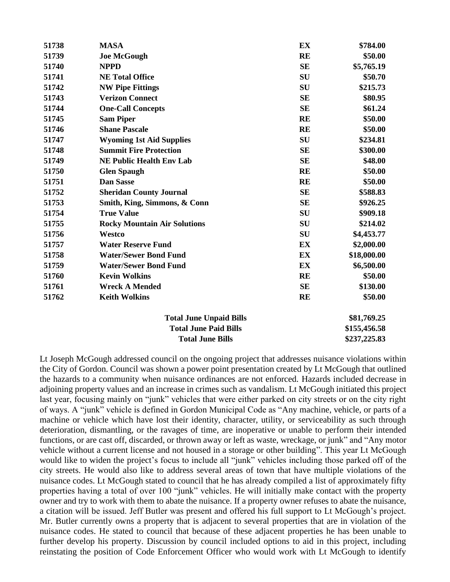| 51738                   | <b>MASA</b>                         | EX        | \$784.00     |
|-------------------------|-------------------------------------|-----------|--------------|
| 51739                   | <b>Joe McGough</b>                  | <b>RE</b> | \$50.00      |
| 51740                   | <b>NPPD</b>                         | <b>SE</b> | \$5,765.19   |
| 51741                   | <b>NE Total Office</b>              | <b>SU</b> | \$50.70      |
| 51742                   | <b>NW Pipe Fittings</b>             | SU        | \$215.73     |
| 51743                   | <b>Verizon Connect</b>              | <b>SE</b> | \$80.95      |
| 51744                   | <b>One-Call Concepts</b>            | <b>SE</b> | \$61.24      |
| 51745                   | <b>Sam Piper</b>                    | <b>RE</b> | \$50.00      |
| 51746                   | <b>Shane Pascale</b>                | <b>RE</b> | \$50.00      |
| 51747                   | <b>Wyoming 1st Aid Supplies</b>     | <b>SU</b> | \$234.81     |
| 51748                   | <b>Summit Fire Protection</b>       | <b>SE</b> | \$300.00     |
| 51749                   | <b>NE Public Health Env Lab</b>     | <b>SE</b> | \$48.00      |
| 51750                   | <b>Glen Spaugh</b>                  | <b>RE</b> | \$50.00      |
| 51751                   | <b>Dan Sasse</b>                    | <b>RE</b> | \$50.00      |
| 51752                   | <b>Sheridan County Journal</b>      | <b>SE</b> | \$588.83     |
| 51753                   | Smith, King, Simmons, & Conn        | <b>SE</b> | \$926.25     |
| 51754                   | <b>True Value</b>                   | <b>SU</b> | \$909.18     |
| 51755                   | <b>Rocky Mountain Air Solutions</b> | SU        | \$214.02     |
| 51756                   | Westco                              | <b>SU</b> | \$4,453.77   |
| 51757                   | <b>Water Reserve Fund</b>           | EX        | \$2,000.00   |
| 51758                   | <b>Water/Sewer Bond Fund</b>        | EX        | \$18,000.00  |
| 51759                   | <b>Water/Sewer Bond Fund</b>        | EX        | \$6,500.00   |
| 51760                   | <b>Kevin Wolkins</b>                | <b>RE</b> | \$50.00      |
| 51761                   | <b>Wreck A Mended</b>               | <b>SE</b> | \$130.00     |
| 51762                   | <b>Keith Wolkins</b>                | <b>RE</b> | \$50.00      |
|                         | <b>Total June Unpaid Bills</b>      |           | \$81,769.25  |
|                         | <b>Total June Paid Bills</b>        |           | \$155,456.58 |
| <b>Total June Bills</b> |                                     |           | \$237,225.83 |

Lt Joseph McGough addressed council on the ongoing project that addresses nuisance violations within the City of Gordon. Council was shown a power point presentation created by Lt McGough that outlined the hazards to a community when nuisance ordinances are not enforced. Hazards included decrease in adjoining property values and an increase in crimes such as vandalism. Lt McGough initiated this project last year, focusing mainly on "junk" vehicles that were either parked on city streets or on the city right of ways. A "junk" vehicle is defined in Gordon Municipal Code as "Any machine, vehicle, or parts of a machine or vehicle which have lost their identity, character, utility, or serviceability as such through deterioration, dismantling, or the ravages of time, are inoperative or unable to perform their intended functions, or are cast off, discarded, or thrown away or left as waste, wreckage, or junk" and "Any motor vehicle without a current license and not housed in a storage or other building". This year Lt McGough would like to widen the project's focus to include all "junk" vehicles including those parked off of the city streets. He would also like to address several areas of town that have multiple violations of the nuisance codes. Lt McGough stated to council that he has already compiled a list of approximately fifty properties having a total of over 100 "junk" vehicles. He will initially make contact with the property owner and try to work with them to abate the nuisance. If a property owner refuses to abate the nuisance, a citation will be issued. Jeff Butler was present and offered his full support to Lt McGough's project. Mr. Butler currently owns a property that is adjacent to several properties that are in violation of the nuisance codes. He stated to council that because of these adjacent properties he has been unable to further develop his property. Discussion by council included options to aid in this project, including reinstating the position of Code Enforcement Officer who would work with Lt McGough to identify